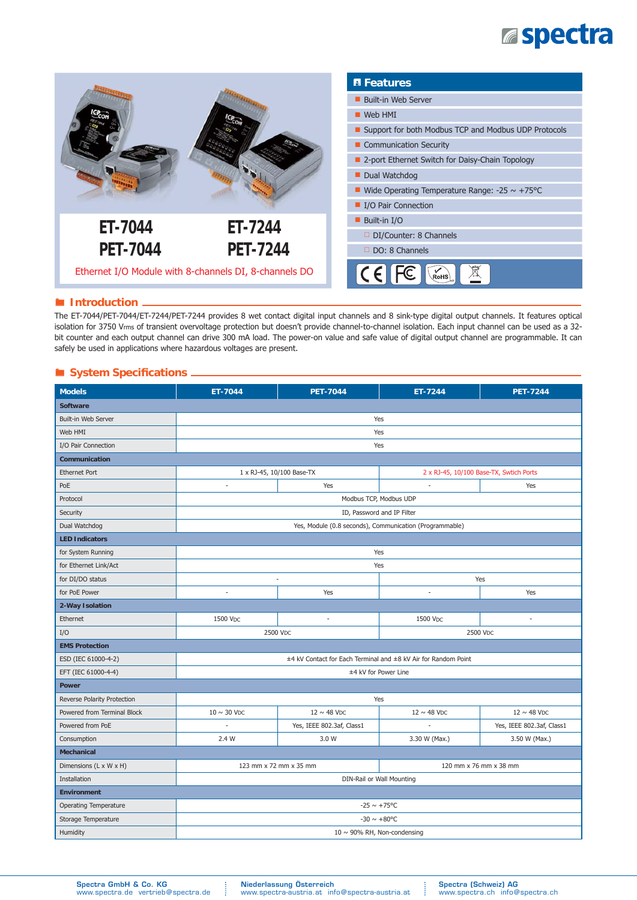## **Espectra**



#### **Introduction**

The ET-7044/PET-7044/ET-7244/PET-7244 provides 8 wet contact digital input channels and 8 sink-type digital output channels. It features optical isolation for 3750 Vrms of transient overvoltage protection but doesn't provide channel-to-channel isolation. Each input channel can be used as a 32 bit counter and each output channel can drive 300 mA load. The power-on value and safe value of digital output channel are programmable. It can safely be used in applications where hazardous voltages are present.

### $\blacksquare$  System Specifications .

| <b>Models</b>                | ET-7044                                                        | <b>PET-7044</b>           | ET-7244                                 | <b>PET-7244</b>           |  |  |
|------------------------------|----------------------------------------------------------------|---------------------------|-----------------------------------------|---------------------------|--|--|
| <b>Software</b>              |                                                                |                           |                                         |                           |  |  |
| Built-in Web Server          | Yes                                                            |                           |                                         |                           |  |  |
| Web HMI                      | Yes                                                            |                           |                                         |                           |  |  |
| I/O Pair Connection          | Yes                                                            |                           |                                         |                           |  |  |
| Communication                |                                                                |                           |                                         |                           |  |  |
| <b>Ethernet Port</b>         | 1 x RJ-45, 10/100 Base-TX                                      |                           | 2 x RJ-45, 10/100 Base-TX, Swtich Ports |                           |  |  |
| PoE                          | Yes<br>×,                                                      |                           | $\overline{\phantom{a}}$                | Yes                       |  |  |
| Protocol                     | Modbus TCP, Modbus UDP                                         |                           |                                         |                           |  |  |
| Security                     | ID, Password and IP Filter                                     |                           |                                         |                           |  |  |
| Dual Watchdog                | Yes, Module (0.8 seconds), Communication (Programmable)        |                           |                                         |                           |  |  |
| <b>LED Indicators</b>        |                                                                |                           |                                         |                           |  |  |
| for System Running           | Yes                                                            |                           |                                         |                           |  |  |
| for Ethernet Link/Act        | Yes                                                            |                           |                                         |                           |  |  |
| for DI/DO status             | $\sim$                                                         |                           | Yes                                     |                           |  |  |
| for PoE Power                | $\sim$                                                         | Yes                       | $\overline{\phantom{a}}$                | Yes                       |  |  |
| 2-Way Isolation              |                                                                |                           |                                         |                           |  |  |
| Ethernet                     | 1500 VDC                                                       | $\overline{\phantom{a}}$  | 1500 VDC                                | ä,                        |  |  |
| I/O                          | 2500 V <sub>DC</sub><br>2500 Vpc                               |                           |                                         |                           |  |  |
| <b>EMS Protection</b>        |                                                                |                           |                                         |                           |  |  |
| ESD (IEC 61000-4-2)          | ±4 kV Contact for Each Terminal and ±8 kV Air for Random Point |                           |                                         |                           |  |  |
| EFT (IEC 61000-4-4)          | ±4 kV for Power Line                                           |                           |                                         |                           |  |  |
| <b>Power</b>                 |                                                                |                           |                                         |                           |  |  |
| Reverse Polarity Protection  | Yes                                                            |                           |                                         |                           |  |  |
| Powered from Terminal Block  | $10 \sim 30$ VDC                                               | $12 \sim 48$ VDC          | $12 \sim 48$ VDC                        | $12 \sim 48$ VDC          |  |  |
| Powered from PoE             |                                                                | Yes, IEEE 802.3af, Class1 | ä,                                      | Yes, IEEE 802.3af, Class1 |  |  |
| Consumption                  | 2.4 W                                                          | 3.0 W                     | 3.30 W (Max.)                           | 3.50 W (Max.)             |  |  |
| <b>Mechanical</b>            |                                                                |                           |                                         |                           |  |  |
| Dimensions (L x W x H)       |                                                                | 123 mm x 72 mm x 35 mm    | 120 mm x 76 mm x 38 mm                  |                           |  |  |
| Installation                 | DIN-Rail or Wall Mounting                                      |                           |                                         |                           |  |  |
| <b>Environment</b>           |                                                                |                           |                                         |                           |  |  |
| <b>Operating Temperature</b> | $-25 \sim +75^{\circ}$ C                                       |                           |                                         |                           |  |  |
| Storage Temperature          | $-30 \sim +80^{\circ}C$                                        |                           |                                         |                           |  |  |
| Humidity                     | 10 $\sim$ 90% RH, Non-condensing                               |                           |                                         |                           |  |  |